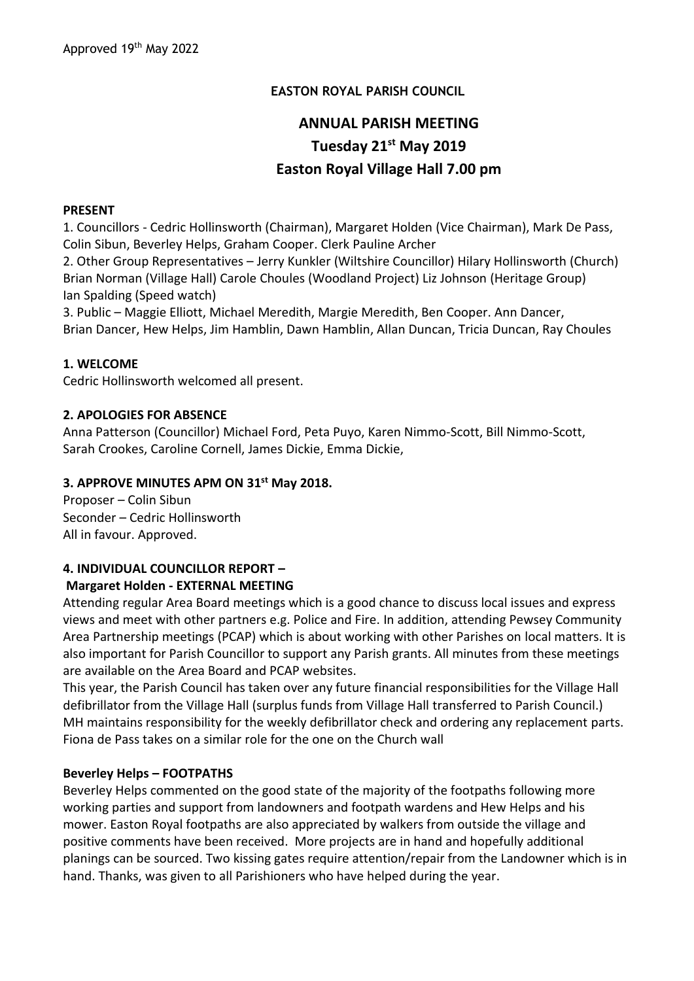# **EASTON ROYAL PARISH COUNCIL**

# **ANNUAL PARISH MEETING Tuesday 21st May 2019 Easton Royal Village Hall 7.00 pm**

#### **PRESENT**

1. Councillors - Cedric Hollinsworth (Chairman), Margaret Holden (Vice Chairman), Mark De Pass, Colin Sibun, Beverley Helps, Graham Cooper. Clerk Pauline Archer

2. Other Group Representatives – Jerry Kunkler (Wiltshire Councillor) Hilary Hollinsworth (Church) Brian Norman (Village Hall) Carole Choules (Woodland Project) Liz Johnson (Heritage Group) Ian Spalding (Speed watch)

3. Public – Maggie Elliott, Michael Meredith, Margie Meredith, Ben Cooper. Ann Dancer, Brian Dancer, Hew Helps, Jim Hamblin, Dawn Hamblin, Allan Duncan, Tricia Duncan, Ray Choules

#### **1. WELCOME**

Cedric Hollinsworth welcomed all present.

#### **2. APOLOGIES FOR ABSENCE**

Anna Patterson (Councillor) Michael Ford, Peta Puyo, Karen Nimmo-Scott, Bill Nimmo-Scott, Sarah Crookes, Caroline Cornell, James Dickie, Emma Dickie,

#### **3. APPROVE MINUTES APM ON 31st May 2018.**

Proposer – Colin Sibun Seconder – Cedric Hollinsworth All in favour. Approved.

#### **4. INDIVIDUAL COUNCILLOR REPORT –**

#### **Margaret Holden - EXTERNAL MEETING**

Attending regular Area Board meetings which is a good chance to discuss local issues and express views and meet with other partners e.g. Police and Fire. In addition, attending Pewsey Community Area Partnership meetings (PCAP) which is about working with other Parishes on local matters. It is also important for Parish Councillor to support any Parish grants. All minutes from these meetings are available on the Area Board and PCAP websites.

This year, the Parish Council has taken over any future financial responsibilities for the Village Hall defibrillator from the Village Hall (surplus funds from Village Hall transferred to Parish Council.) MH maintains responsibility for the weekly defibrillator check and ordering any replacement parts. Fiona de Pass takes on a similar role for the one on the Church wall

#### **Beverley Helps – FOOTPATHS**

Beverley Helps commented on the good state of the majority of the footpaths following more working parties and support from landowners and footpath wardens and Hew Helps and his mower. Easton Royal footpaths are also appreciated by walkers from outside the village and positive comments have been received. More projects are in hand and hopefully additional planings can be sourced. Two kissing gates require attention/repair from the Landowner which is in hand. Thanks, was given to all Parishioners who have helped during the year.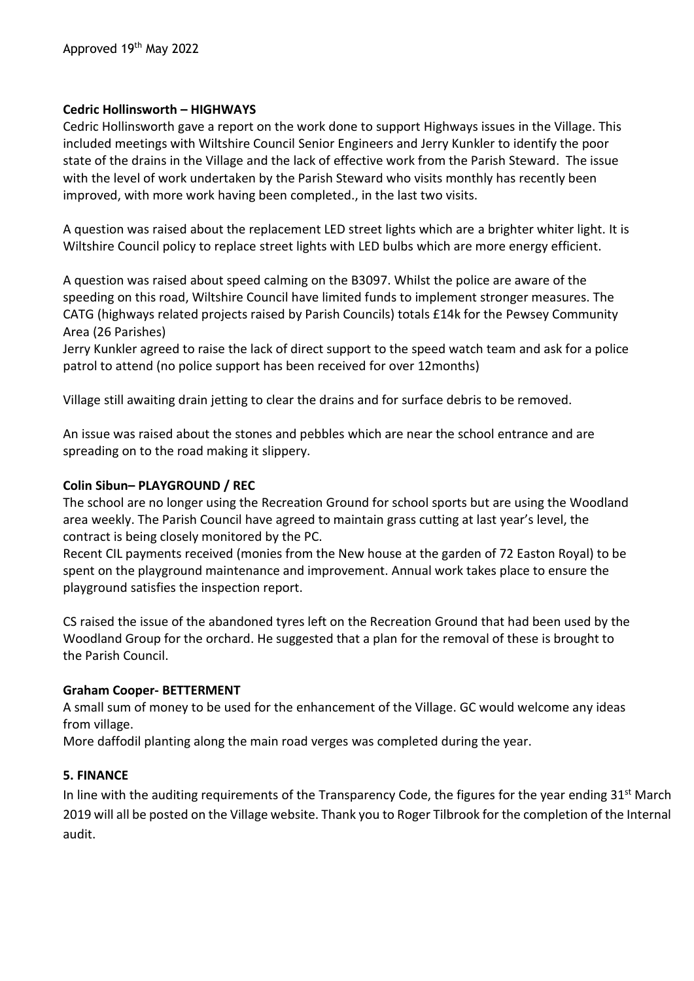#### **Cedric Hollinsworth – HIGHWAYS**

Cedric Hollinsworth gave a report on the work done to support Highways issues in the Village. This included meetings with Wiltshire Council Senior Engineers and Jerry Kunkler to identify the poor state of the drains in the Village and the lack of effective work from the Parish Steward. The issue with the level of work undertaken by the Parish Steward who visits monthly has recently been improved, with more work having been completed., in the last two visits.

A question was raised about the replacement LED street lights which are a brighter whiter light. It is Wiltshire Council policy to replace street lights with LED bulbs which are more energy efficient.

A question was raised about speed calming on the B3097. Whilst the police are aware of the speeding on this road, Wiltshire Council have limited funds to implement stronger measures. The CATG (highways related projects raised by Parish Councils) totals £14k for the Pewsey Community Area (26 Parishes)

Jerry Kunkler agreed to raise the lack of direct support to the speed watch team and ask for a police patrol to attend (no police support has been received for over 12months)

Village still awaiting drain jetting to clear the drains and for surface debris to be removed.

An issue was raised about the stones and pebbles which are near the school entrance and are spreading on to the road making it slippery.

#### **Colin Sibun– PLAYGROUND / REC**

The school are no longer using the Recreation Ground for school sports but are using the Woodland area weekly. The Parish Council have agreed to maintain grass cutting at last year's level, the contract is being closely monitored by the PC.

Recent CIL payments received (monies from the New house at the garden of 72 Easton Royal) to be spent on the playground maintenance and improvement. Annual work takes place to ensure the playground satisfies the inspection report.

CS raised the issue of the abandoned tyres left on the Recreation Ground that had been used by the Woodland Group for the orchard. He suggested that a plan for the removal of these is brought to the Parish Council.

#### **Graham Cooper- BETTERMENT**

A small sum of money to be used for the enhancement of the Village. GC would welcome any ideas from village.

More daffodil planting along the main road verges was completed during the year.

## **5. FINANCE**

In line with the auditing requirements of the Transparency Code, the figures for the year ending 31<sup>st</sup> March 2019 will all be posted on the Village website. Thank you to Roger Tilbrook for the completion of the Internal audit.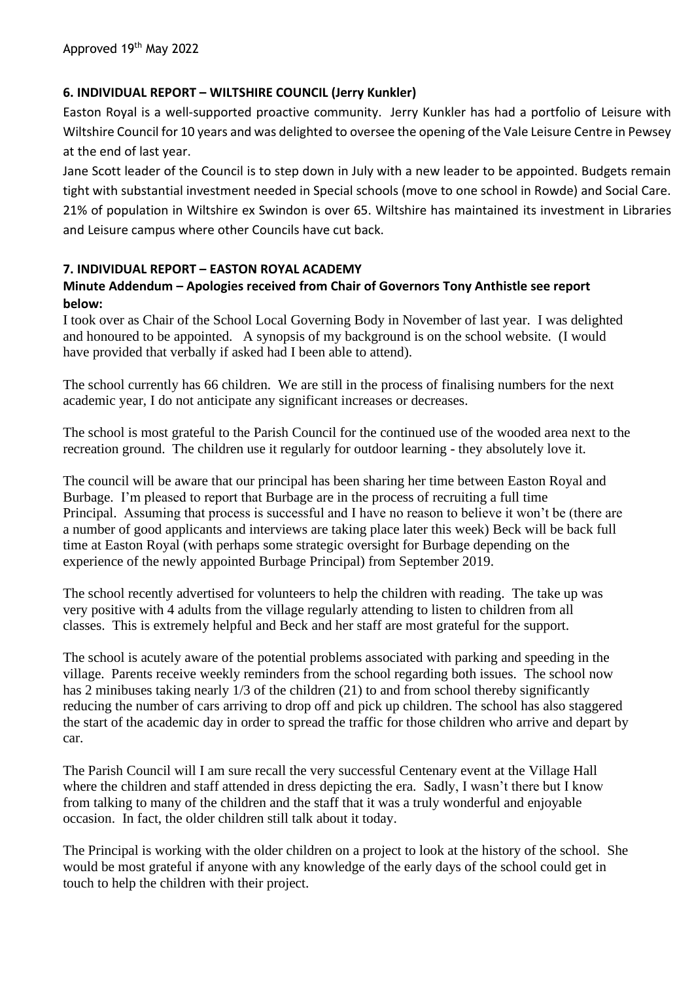## **6. INDIVIDUAL REPORT – WILTSHIRE COUNCIL (Jerry Kunkler)**

Easton Royal is a well-supported proactive community. Jerry Kunkler has had a portfolio of Leisure with Wiltshire Council for 10 years and was delighted to oversee the opening of the Vale Leisure Centre in Pewsey at the end of last year.

Jane Scott leader of the Council is to step down in July with a new leader to be appointed. Budgets remain tight with substantial investment needed in Special schools (move to one school in Rowde) and Social Care. 21% of population in Wiltshire ex Swindon is over 65. Wiltshire has maintained its investment in Libraries and Leisure campus where other Councils have cut back.

#### **7. INDIVIDUAL REPORT – EASTON ROYAL ACADEMY**

## **Minute Addendum – Apologies received from Chair of Governors Tony Anthistle see report below:**

I took over as Chair of the School Local Governing Body in November of last year. I was delighted and honoured to be appointed. A synopsis of my background is on the school website. (I would have provided that verbally if asked had I been able to attend).

The school currently has 66 children. We are still in the process of finalising numbers for the next academic year, I do not anticipate any significant increases or decreases.

The school is most grateful to the Parish Council for the continued use of the wooded area next to the recreation ground. The children use it regularly for outdoor learning - they absolutely love it.

The council will be aware that our principal has been sharing her time between Easton Royal and Burbage. I'm pleased to report that Burbage are in the process of recruiting a full time Principal. Assuming that process is successful and I have no reason to believe it won't be (there are a number of good applicants and interviews are taking place later this week) Beck will be back full time at Easton Royal (with perhaps some strategic oversight for Burbage depending on the experience of the newly appointed Burbage Principal) from September 2019.

The school recently advertised for volunteers to help the children with reading. The take up was very positive with 4 adults from the village regularly attending to listen to children from all classes. This is extremely helpful and Beck and her staff are most grateful for the support.

The school is acutely aware of the potential problems associated with parking and speeding in the village. Parents receive weekly reminders from the school regarding both issues. The school now has 2 minibuses taking nearly 1/3 of the children (21) to and from school thereby significantly reducing the number of cars arriving to drop off and pick up children. The school has also staggered the start of the academic day in order to spread the traffic for those children who arrive and depart by car.

The Parish Council will I am sure recall the very successful Centenary event at the Village Hall where the children and staff attended in dress depicting the era. Sadly, I wasn't there but I know from talking to many of the children and the staff that it was a truly wonderful and enjoyable occasion. In fact, the older children still talk about it today.

The Principal is working with the older children on a project to look at the history of the school. She would be most grateful if anyone with any knowledge of the early days of the school could get in touch to help the children with their project.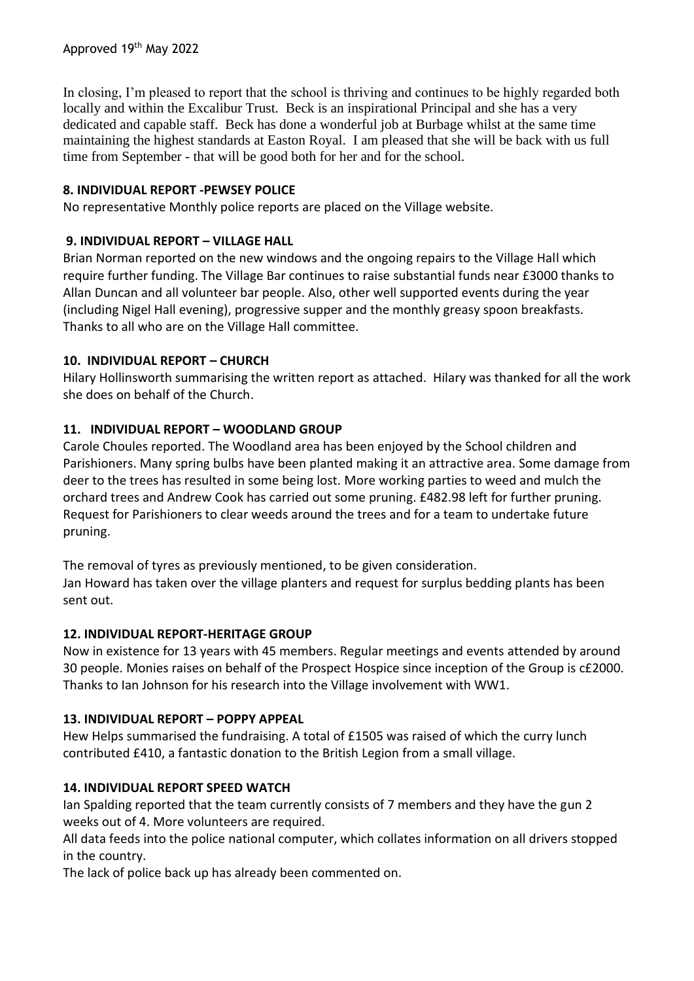In closing, I'm pleased to report that the school is thriving and continues to be highly regarded both locally and within the Excalibur Trust. Beck is an inspirational Principal and she has a very dedicated and capable staff. Beck has done a wonderful job at Burbage whilst at the same time maintaining the highest standards at Easton Royal. I am pleased that she will be back with us full time from September - that will be good both for her and for the school.

## **8. INDIVIDUAL REPORT -PEWSEY POLICE**

No representative Monthly police reports are placed on the Village website.

### **9. INDIVIDUAL REPORT – VILLAGE HALL**

Brian Norman reported on the new windows and the ongoing repairs to the Village Hall which require further funding. The Village Bar continues to raise substantial funds near £3000 thanks to Allan Duncan and all volunteer bar people. Also, other well supported events during the year (including Nigel Hall evening), progressive supper and the monthly greasy spoon breakfasts. Thanks to all who are on the Village Hall committee.

## **10. INDIVIDUAL REPORT – CHURCH**

Hilary Hollinsworth summarising the written report as attached. Hilary was thanked for all the work she does on behalf of the Church.

## **11. INDIVIDUAL REPORT – WOODLAND GROUP**

Carole Choules reported. The Woodland area has been enjoyed by the School children and Parishioners. Many spring bulbs have been planted making it an attractive area. Some damage from deer to the trees has resulted in some being lost. More working parties to weed and mulch the orchard trees and Andrew Cook has carried out some pruning. £482.98 left for further pruning. Request for Parishioners to clear weeds around the trees and for a team to undertake future pruning.

The removal of tyres as previously mentioned, to be given consideration. Jan Howard has taken over the village planters and request for surplus bedding plants has been sent out.

## **12. INDIVIDUAL REPORT-HERITAGE GROUP**

Now in existence for 13 years with 45 members. Regular meetings and events attended by around 30 people. Monies raises on behalf of the Prospect Hospice since inception of the Group is c£2000. Thanks to Ian Johnson for his research into the Village involvement with WW1.

## **13. INDIVIDUAL REPORT – POPPY APPEAL**

Hew Helps summarised the fundraising. A total of £1505 was raised of which the curry lunch contributed £410, a fantastic donation to the British Legion from a small village.

## **14. INDIVIDUAL REPORT SPEED WATCH**

Ian Spalding reported that the team currently consists of 7 members and they have the gun 2 weeks out of 4. More volunteers are required.

All data feeds into the police national computer, which collates information on all drivers stopped in the country.

The lack of police back up has already been commented on.